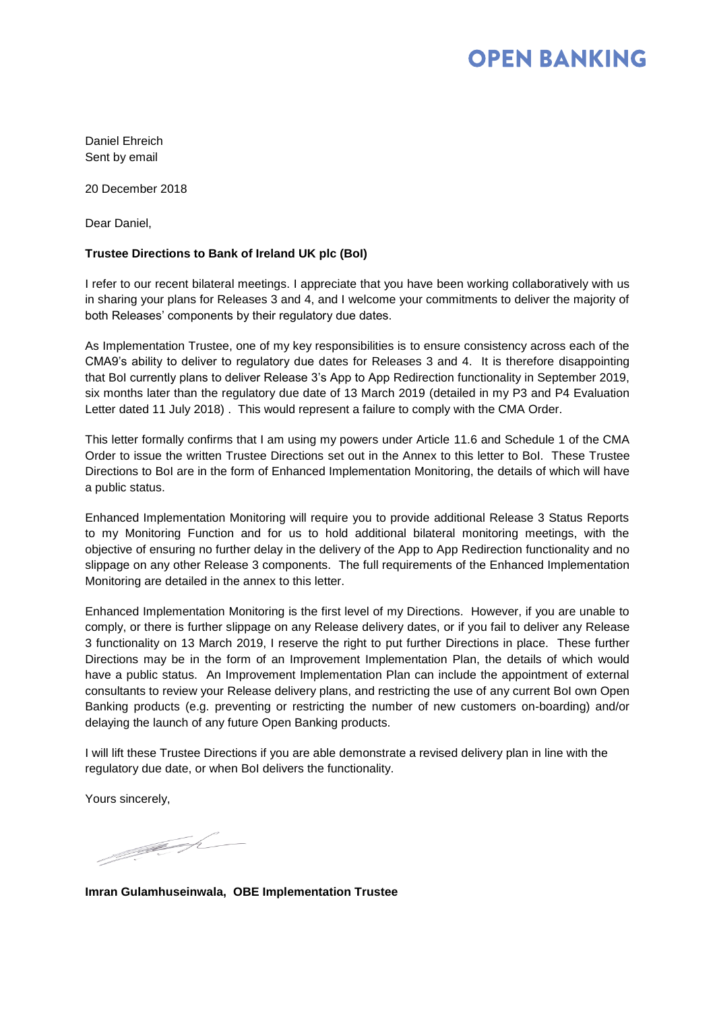## **OPEN BANKING**

Daniel Ehreich Sent by email

20 December 2018

Dear Daniel,

### **Trustee Directions to Bank of Ireland UK plc (BoI)**

I refer to our recent bilateral meetings. I appreciate that you have been working collaboratively with us in sharing your plans for Releases 3 and 4, and I welcome your commitments to deliver the majority of both Releases' components by their regulatory due dates.

As Implementation Trustee, one of my key responsibilities is to ensure consistency across each of the CMA9's ability to deliver to regulatory due dates for Releases 3 and 4. It is therefore disappointing that BoI currently plans to deliver Release 3's App to App Redirection functionality in September 2019, six months later than the regulatory due date of 13 March 2019 (detailed in my P3 and P4 Evaluation Letter dated 11 July 2018) . This would represent a failure to comply with the CMA Order.

This letter formally confirms that I am using my powers under Article 11.6 and Schedule 1 of the CMA Order to issue the written Trustee Directions set out in the Annex to this letter to BoI. These Trustee Directions to BoI are in the form of Enhanced Implementation Monitoring, the details of which will have a public status.

Enhanced Implementation Monitoring will require you to provide additional Release 3 Status Reports to my Monitoring Function and for us to hold additional bilateral monitoring meetings, with the objective of ensuring no further delay in the delivery of the App to App Redirection functionality and no slippage on any other Release 3 components. The full requirements of the Enhanced Implementation Monitoring are detailed in the annex to this letter.

Enhanced Implementation Monitoring is the first level of my Directions. However, if you are unable to comply, or there is further slippage on any Release delivery dates, or if you fail to deliver any Release 3 functionality on 13 March 2019, I reserve the right to put further Directions in place. These further Directions may be in the form of an Improvement Implementation Plan, the details of which would have a public status. An Improvement Implementation Plan can include the appointment of external consultants to review your Release delivery plans, and restricting the use of any current BoI own Open Banking products (e.g. preventing or restricting the number of new customers on-boarding) and/or delaying the launch of any future Open Banking products.

I will lift these Trustee Directions if you are able demonstrate a revised delivery plan in line with the regulatory due date, or when BoI delivers the functionality.

Yours sincerely,

1999 R

**Imran Gulamhuseinwala, OBE Implementation Trustee**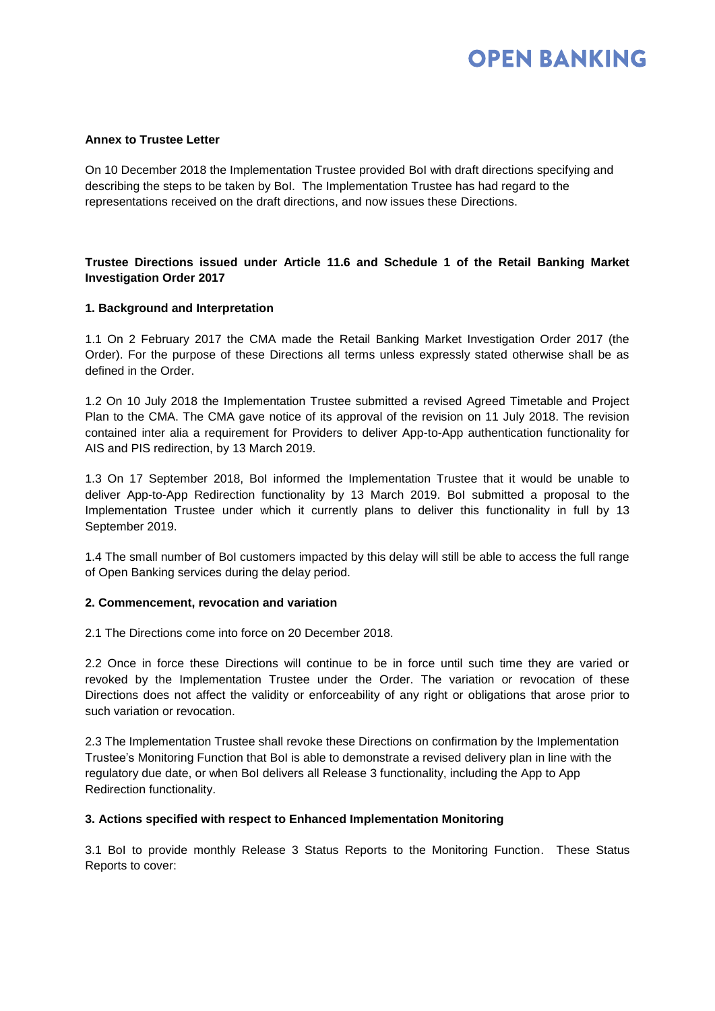# **OPEN BANKING**

## **Annex to Trustee Letter**

On 10 December 2018 the Implementation Trustee provided BoI with draft directions specifying and describing the steps to be taken by BoI. The Implementation Trustee has had regard to the representations received on the draft directions, and now issues these Directions.

## **Trustee Directions issued under Article 11.6 and Schedule 1 of the Retail Banking Market Investigation Order 2017**

## **1. Background and Interpretation**

1.1 On 2 February 2017 the CMA made the Retail Banking Market Investigation Order 2017 (the Order). For the purpose of these Directions all terms unless expressly stated otherwise shall be as defined in the Order.

1.2 On 10 July 2018 the Implementation Trustee submitted a revised Agreed Timetable and Project Plan to the CMA. The CMA gave notice of its approval of the revision on 11 July 2018. The revision contained inter alia a requirement for Providers to deliver App-to-App authentication functionality for AIS and PIS redirection, by 13 March 2019.

1.3 On 17 September 2018, BoI informed the Implementation Trustee that it would be unable to deliver App-to-App Redirection functionality by 13 March 2019. BoI submitted a proposal to the Implementation Trustee under which it currently plans to deliver this functionality in full by 13 September 2019.

1.4 The small number of BoI customers impacted by this delay will still be able to access the full range of Open Banking services during the delay period.

### **2. Commencement, revocation and variation**

2.1 The Directions come into force on 20 December 2018.

2.2 Once in force these Directions will continue to be in force until such time they are varied or revoked by the Implementation Trustee under the Order. The variation or revocation of these Directions does not affect the validity or enforceability of any right or obligations that arose prior to such variation or revocation.

2.3 The Implementation Trustee shall revoke these Directions on confirmation by the Implementation Trustee's Monitoring Function that BoI is able to demonstrate a revised delivery plan in line with the regulatory due date, or when BoI delivers all Release 3 functionality, including the App to App Redirection functionality.

### **3. Actions specified with respect to Enhanced Implementation Monitoring**

3.1 BoI to provide monthly Release 3 Status Reports to the Monitoring Function. These Status Reports to cover: